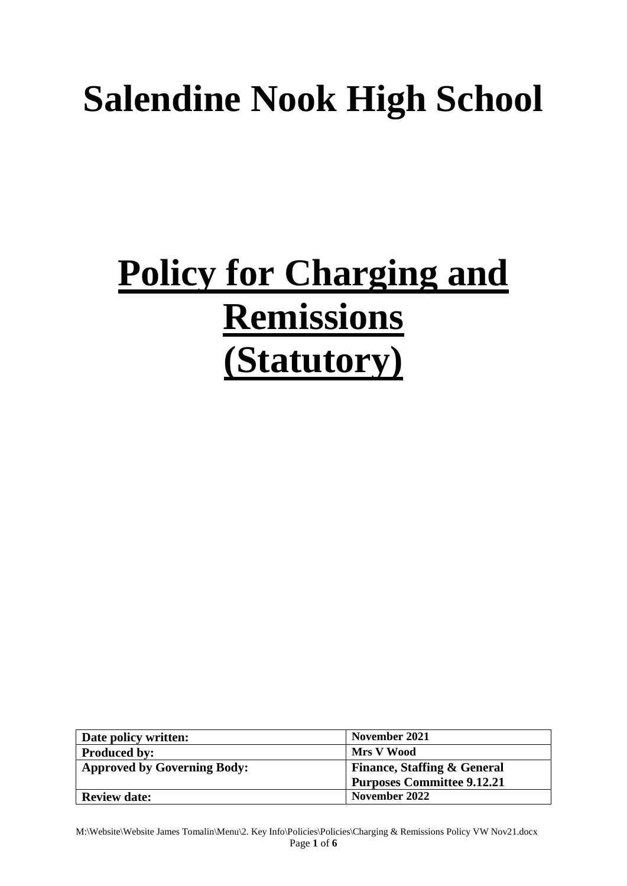# **Salendine Nook High School**

# **Policy for Charging and Remissions (Statutory)**

| Date policy written:               | November 2021                          |
|------------------------------------|----------------------------------------|
| <b>Produced by:</b>                | Mrs V Wood                             |
| <b>Approved by Governing Body:</b> | <b>Finance, Staffing &amp; General</b> |
|                                    | <b>Purposes Committee 9.12.21</b>      |
| <b>Review date:</b>                | November 2022                          |

M:\Website\Website James Tomalin\Menu\2. Key Info\Policies\Policies\Charging & Remissions Policy VW Nov21.docx Page **1** of **6**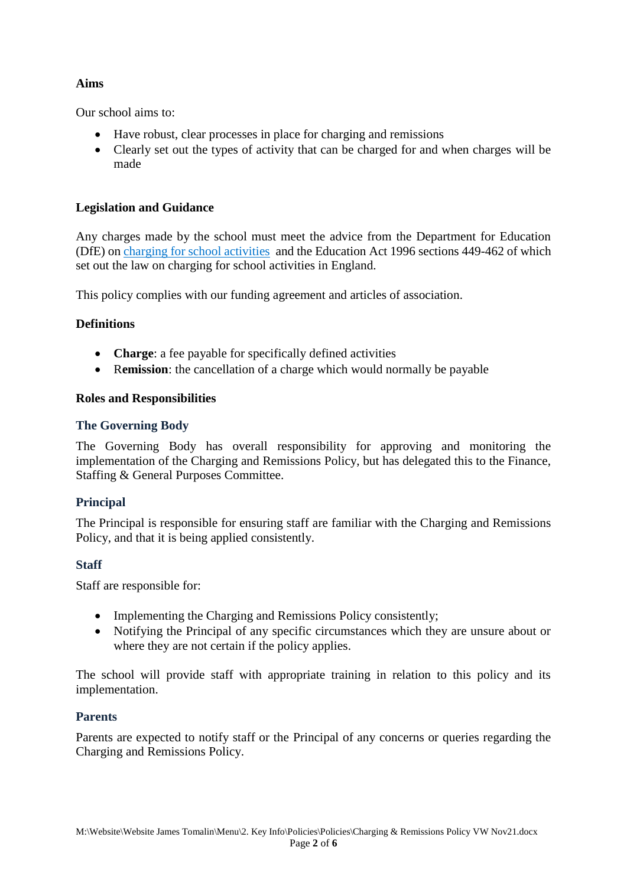## **Aims**

Our school aims to:

- Have robust, clear processes in place for charging and remissions
- Clearly set out the types of activity that can be charged for and when charges will be made

## **Legislation and Guidance**

Any charges made by the school must meet the advice from the Department for Education (DfE) on [charging for school activities](https://www.gov.uk/government/publications/charging-for-school-activities) and the Education Act 1996 sections 449-462 of which set out the law on charging for school activities in England.

This policy complies with our funding agreement and articles of association.

### **Definitions**

- **Charge**: a fee payable for specifically defined activities
- R**emission**: the cancellation of a charge which would normally be payable

### **Roles and Responsibilities**

### **The Governing Body**

The Governing Body has overall responsibility for approving and monitoring the implementation of the Charging and Remissions Policy, but has delegated this to the Finance, Staffing & General Purposes Committee.

### **Principal**

The Principal is responsible for ensuring staff are familiar with the Charging and Remissions Policy, and that it is being applied consistently.

### **Staff**

Staff are responsible for:

- Implementing the Charging and Remissions Policy consistently;
- Notifying the Principal of any specific circumstances which they are unsure about or where they are not certain if the policy applies.

The school will provide staff with appropriate training in relation to this policy and its implementation.

### **Parents**

Parents are expected to notify staff or the Principal of any concerns or queries regarding the Charging and Remissions Policy.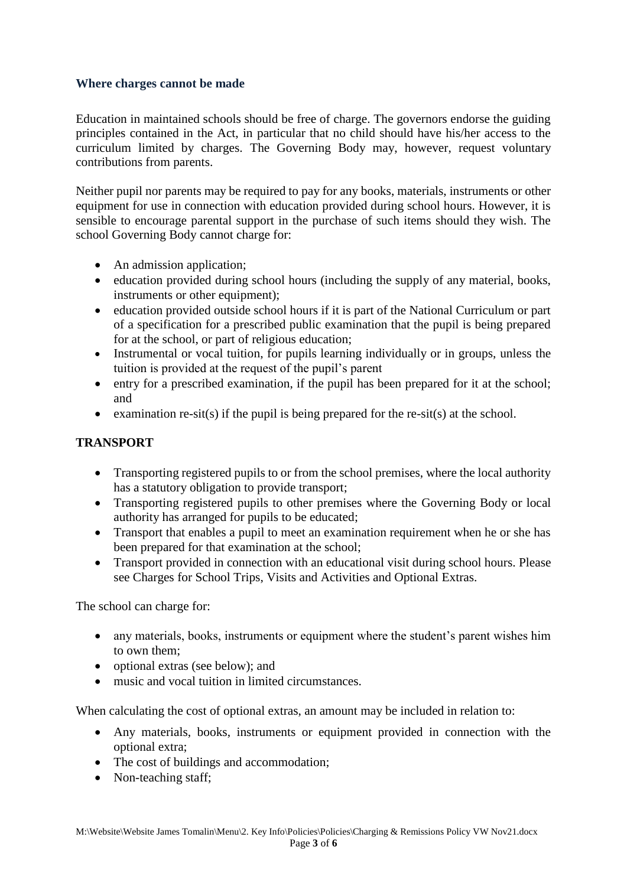#### **Where charges cannot be made**

Education in maintained schools should be free of charge. The governors endorse the guiding principles contained in the Act, in particular that no child should have his/her access to the curriculum limited by charges. The Governing Body may, however, request voluntary contributions from parents.

Neither pupil nor parents may be required to pay for any books, materials, instruments or other equipment for use in connection with education provided during school hours. However, it is sensible to encourage parental support in the purchase of such items should they wish. The school Governing Body cannot charge for:

- An admission application;
- education provided during school hours (including the supply of any material, books, instruments or other equipment);
- education provided outside school hours if it is part of the National Curriculum or part of a specification for a prescribed public examination that the pupil is being prepared for at the school, or part of religious education;
- Instrumental or vocal tuition, for pupils learning individually or in groups, unless the tuition is provided at the request of the pupil's parent
- entry for a prescribed examination, if the pupil has been prepared for it at the school; and
- examination  $re-sit(s)$  if the pupil is being prepared for the  $re-sit(s)$  at the school.

## **TRANSPORT**

- Transporting registered pupils to or from the school premises, where the local authority has a statutory obligation to provide transport;
- Transporting registered pupils to other premises where the Governing Body or local authority has arranged for pupils to be educated;
- Transport that enables a pupil to meet an examination requirement when he or she has been prepared for that examination at the school;
- Transport provided in connection with an educational visit during school hours. Please see Charges for School Trips, Visits and Activities and Optional Extras.

The school can charge for:

- any materials, books, instruments or equipment where the student's parent wishes him to own them;
- optional extras (see below); and
- music and vocal tuition in limited circumstances.

When calculating the cost of optional extras, an amount may be included in relation to:

- Any materials, books, instruments or equipment provided in connection with the optional extra;
- The cost of buildings and accommodation;
- Non-teaching staff;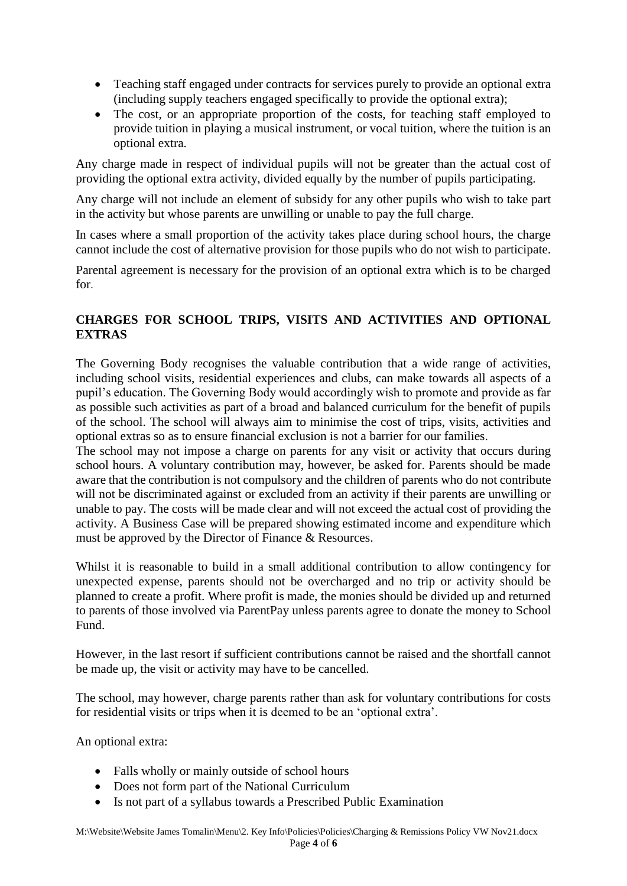- Teaching staff engaged under contracts for services purely to provide an optional extra (including supply teachers engaged specifically to provide the optional extra);
- The cost, or an appropriate proportion of the costs, for teaching staff employed to provide tuition in playing a musical instrument, or vocal tuition, where the tuition is an optional extra.

Any charge made in respect of individual pupils will not be greater than the actual cost of providing the optional extra activity, divided equally by the number of pupils participating.

Any charge will not include an element of subsidy for any other pupils who wish to take part in the activity but whose parents are unwilling or unable to pay the full charge.

In cases where a small proportion of the activity takes place during school hours, the charge cannot include the cost of alternative provision for those pupils who do not wish to participate.

Parental agreement is necessary for the provision of an optional extra which is to be charged for.

# **CHARGES FOR SCHOOL TRIPS, VISITS AND ACTIVITIES AND OPTIONAL EXTRAS**

The Governing Body recognises the valuable contribution that a wide range of activities, including school visits, residential experiences and clubs, can make towards all aspects of a pupil's education. The Governing Body would accordingly wish to promote and provide as far as possible such activities as part of a broad and balanced curriculum for the benefit of pupils of the school. The school will always aim to minimise the cost of trips, visits, activities and optional extras so as to ensure financial exclusion is not a barrier for our families.

The school may not impose a charge on parents for any visit or activity that occurs during school hours. A voluntary contribution may, however, be asked for. Parents should be made aware that the contribution is not compulsory and the children of parents who do not contribute will not be discriminated against or excluded from an activity if their parents are unwilling or unable to pay. The costs will be made clear and will not exceed the actual cost of providing the activity. A Business Case will be prepared showing estimated income and expenditure which must be approved by the Director of Finance & Resources.

Whilst it is reasonable to build in a small additional contribution to allow contingency for unexpected expense, parents should not be overcharged and no trip or activity should be planned to create a profit. Where profit is made, the monies should be divided up and returned to parents of those involved via ParentPay unless parents agree to donate the money to School Fund.

However, in the last resort if sufficient contributions cannot be raised and the shortfall cannot be made up, the visit or activity may have to be cancelled.

The school, may however, charge parents rather than ask for voluntary contributions for costs for residential visits or trips when it is deemed to be an 'optional extra'.

An optional extra:

- Falls wholly or mainly outside of school hours
- Does not form part of the National Curriculum
- Is not part of a syllabus towards a Prescribed Public Examination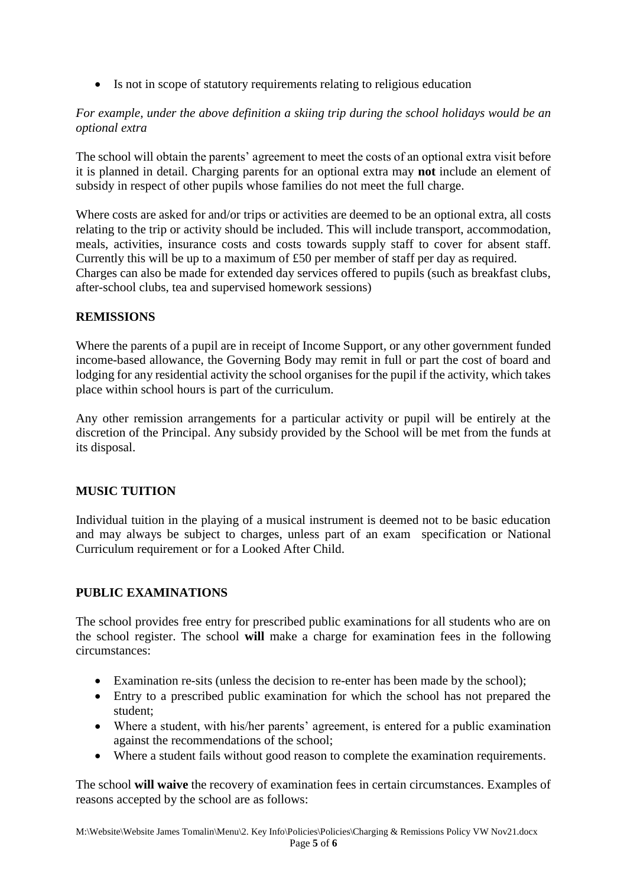• Is not in scope of statutory requirements relating to religious education

## *For example, under the above definition a skiing trip during the school holidays would be an optional extra*

The school will obtain the parents' agreement to meet the costs of an optional extra visit before it is planned in detail. Charging parents for an optional extra may **not** include an element of subsidy in respect of other pupils whose families do not meet the full charge.

Where costs are asked for and/or trips or activities are deemed to be an optional extra, all costs relating to the trip or activity should be included. This will include transport, accommodation, meals, activities, insurance costs and costs towards supply staff to cover for absent staff. Currently this will be up to a maximum of £50 per member of staff per day as required. Charges can also be made for extended day services offered to pupils (such as breakfast clubs, after-school clubs, tea and supervised homework sessions)

### **REMISSIONS**

Where the parents of a pupil are in receipt of Income Support, or any other government funded income-based allowance, the Governing Body may remit in full or part the cost of board and lodging for any residential activity the school organises for the pupil if the activity, which takes place within school hours is part of the curriculum.

Any other remission arrangements for a particular activity or pupil will be entirely at the discretion of the Principal. Any subsidy provided by the School will be met from the funds at its disposal.

# **MUSIC TUITION**

Individual tuition in the playing of a musical instrument is deemed not to be basic education and may always be subject to charges, unless part of an exam specification or National Curriculum requirement or for a Looked After Child.

# **PUBLIC EXAMINATIONS**

The school provides free entry for prescribed public examinations for all students who are on the school register. The school **will** make a charge for examination fees in the following circumstances:

- Examination re-sits (unless the decision to re-enter has been made by the school);
- Entry to a prescribed public examination for which the school has not prepared the student;
- Where a student, with his/her parents' agreement, is entered for a public examination against the recommendations of the school;
- Where a student fails without good reason to complete the examination requirements.

The school **will waive** the recovery of examination fees in certain circumstances. Examples of reasons accepted by the school are as follows: